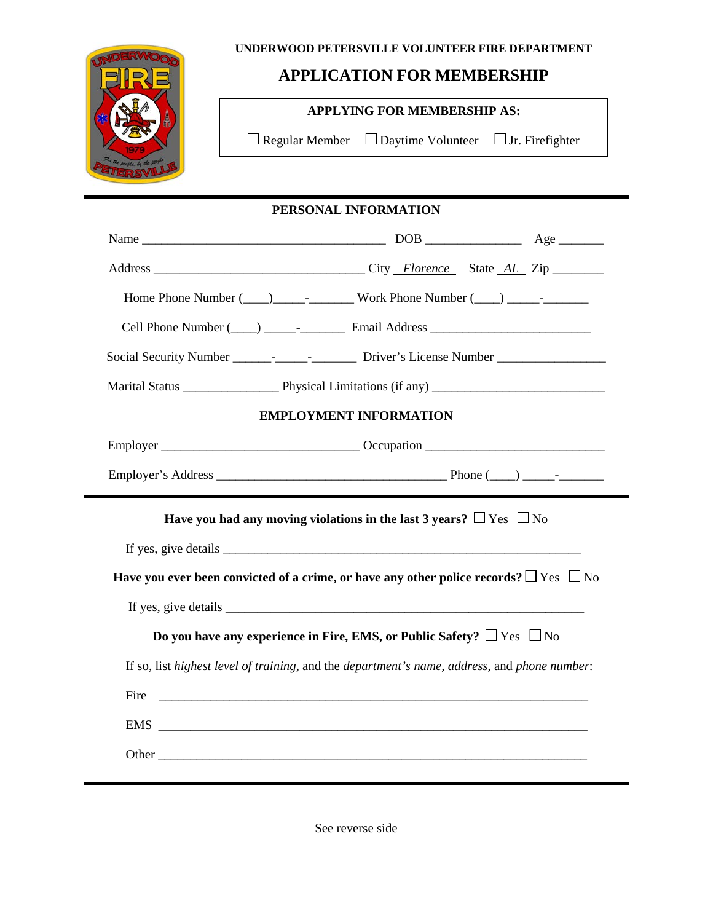#### **UNDERWOOD PETERSVILLE VOLUNTEER FIRE DEPARTMENT**



## **APPLICATION FOR MEMBERSHIP**

### **APPLYING FOR MEMBERSHIP AS:**

 $\Box$  <br> Regular Member  $\hfill \Box$  <br> Daytime Volunteer  $\hfill \Box$  <br> Jr. Firefighter

|      | PERSONAL INFORMATION                                                                                                 |  |  |  |  |
|------|----------------------------------------------------------------------------------------------------------------------|--|--|--|--|
|      |                                                                                                                      |  |  |  |  |
|      |                                                                                                                      |  |  |  |  |
|      |                                                                                                                      |  |  |  |  |
|      | Cell Phone Number (____) __________________ Email Address _______________________                                    |  |  |  |  |
|      |                                                                                                                      |  |  |  |  |
|      |                                                                                                                      |  |  |  |  |
|      | <b>EMPLOYMENT INFORMATION</b>                                                                                        |  |  |  |  |
|      |                                                                                                                      |  |  |  |  |
|      |                                                                                                                      |  |  |  |  |
|      | Have you had any moving violations in the last 3 years? $\Box$ Yes $\Box$ No                                         |  |  |  |  |
|      |                                                                                                                      |  |  |  |  |
|      | Have you ever been convicted of a crime, or have any other police records? $\Box$ Yes $\Box$ No                      |  |  |  |  |
|      | If yes, give details                                                                                                 |  |  |  |  |
|      | Do you have any experience in Fire, EMS, or Public Safety? $\Box$ Yes $\Box$ No                                      |  |  |  |  |
|      | If so, list highest level of training, and the department's name, address, and phone number:                         |  |  |  |  |
| Fire | <u> 1990 - Jan James James James James James James James James James James James James James James James James J</u> |  |  |  |  |
|      |                                                                                                                      |  |  |  |  |